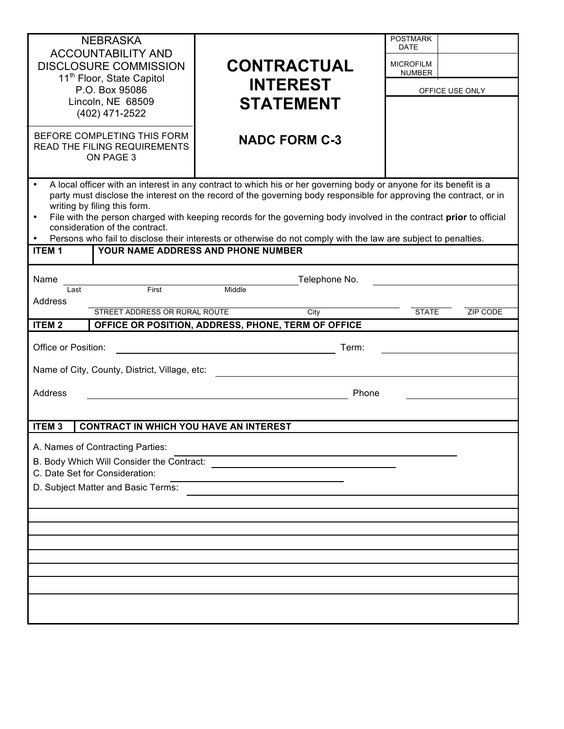| <b>NEBRASKA</b><br><b>ACCOUNTABILITY AND</b><br><b>DISCLOSURE COMMISSION</b><br>11 <sup>th</sup> Floor, State Capitol<br>P.O. Box 95086<br>Lincoln, NE 68509<br>(402) 471-2522<br>BEFORE COMPLETING THIS FORM<br>READ THE FILING REQUIREMENTS<br>ON PAGE 3                                                                                                                                                                                                                                                                                                                                                             | <b>CONTRACTUAL</b><br><b>INTEREST</b><br><b>STATEMENT</b><br><b>NADC FORM C-3</b>     | <b>POSTMARK</b><br><b>DATE</b><br><b>MICROFILM</b><br><b>NUMBER</b><br>OFFICE USE ONLY |  |
|------------------------------------------------------------------------------------------------------------------------------------------------------------------------------------------------------------------------------------------------------------------------------------------------------------------------------------------------------------------------------------------------------------------------------------------------------------------------------------------------------------------------------------------------------------------------------------------------------------------------|---------------------------------------------------------------------------------------|----------------------------------------------------------------------------------------|--|
| A local officer with an interest in any contract to which his or her governing body or anyone for its benefit is a<br>party must disclose the interest on the record of the governing body responsible for approving the contract, or in<br>writing by filing this form.<br>File with the person charged with keeping records for the governing body involved in the contract prior to official<br>$\bullet$<br>consideration of the contract.<br>Persons who fail to disclose their interests or otherwise do not comply with the law are subject to penalties.<br>YOUR NAME ADDRESS AND PHONE NUMBER<br><b>ITEM1</b> |                                                                                       |                                                                                        |  |
| Name<br>First<br>Last<br>Address<br>STREET ADDRESS OR RURAL ROUTE<br><b>ITEM2</b>                                                                                                                                                                                                                                                                                                                                                                                                                                                                                                                                      | Telephone No.<br>Middle<br>City<br>OFFICE OR POSITION, ADDRESS, PHONE, TERM OF OFFICE | <b>STATE</b><br><b>ZIP CODE</b>                                                        |  |
| Office or Position:<br>Term:<br>Name of City, County, District, Village, etc:<br>Address<br>Phone                                                                                                                                                                                                                                                                                                                                                                                                                                                                                                                      |                                                                                       |                                                                                        |  |
| ITEM <sub>3</sub><br><b>CONTRACT IN WHICH YOU HAVE AN INTEREST</b><br>A. Names of Contracting Parties:<br>B. Body Which Will Consider the Contract:<br>C. Date Set for Consideration:<br>D. Subject Matter and Basic Terms:                                                                                                                                                                                                                                                                                                                                                                                            |                                                                                       |                                                                                        |  |
|                                                                                                                                                                                                                                                                                                                                                                                                                                                                                                                                                                                                                        |                                                                                       |                                                                                        |  |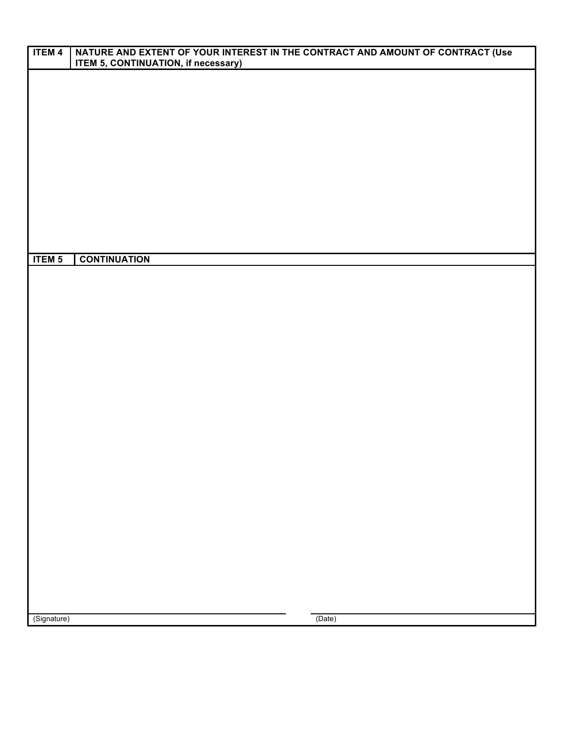| <b>ITEM 4</b> | NATURE AND EXTENT OF YOUR INTEREST IN THE CONTRACT AND AMOUNT OF CONTRACT (Use<br><b>ITEM 5, CONTINUATION, if necessary)</b> |  |  |
|---------------|------------------------------------------------------------------------------------------------------------------------------|--|--|
|               |                                                                                                                              |  |  |
|               |                                                                                                                              |  |  |
|               |                                                                                                                              |  |  |
|               |                                                                                                                              |  |  |
|               |                                                                                                                              |  |  |
|               |                                                                                                                              |  |  |
|               |                                                                                                                              |  |  |
|               |                                                                                                                              |  |  |
|               |                                                                                                                              |  |  |
|               |                                                                                                                              |  |  |
| <b>ITEM 5</b> | <b>CONTINUATION</b>                                                                                                          |  |  |
|               |                                                                                                                              |  |  |
|               |                                                                                                                              |  |  |
|               |                                                                                                                              |  |  |
|               |                                                                                                                              |  |  |
|               |                                                                                                                              |  |  |
|               |                                                                                                                              |  |  |
|               |                                                                                                                              |  |  |
|               |                                                                                                                              |  |  |
|               |                                                                                                                              |  |  |
|               |                                                                                                                              |  |  |
|               |                                                                                                                              |  |  |
|               |                                                                                                                              |  |  |
|               |                                                                                                                              |  |  |
|               |                                                                                                                              |  |  |
|               |                                                                                                                              |  |  |
|               |                                                                                                                              |  |  |
|               |                                                                                                                              |  |  |
|               |                                                                                                                              |  |  |
| (Signature)   | (Date)                                                                                                                       |  |  |